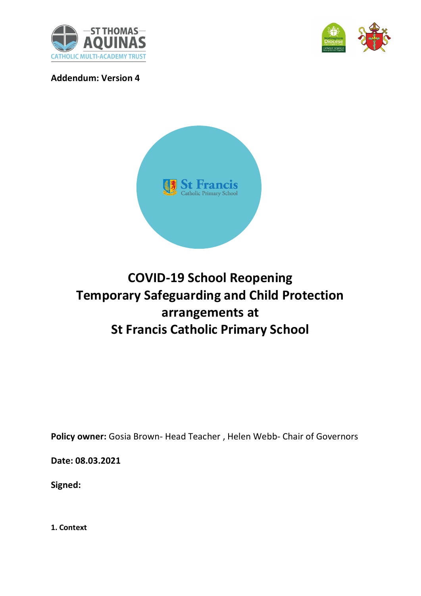



**Addendum: Version 4**



# **COVID-19 School Reopening Temporary Safeguarding and Child Protection arrangements at St Francis Catholic Primary School**

**Policy owner:** Gosia Brown- Head Teacher , Helen Webb- Chair of Governors

**Date: 08.03.2021**

**Signed:** 

**1. Context**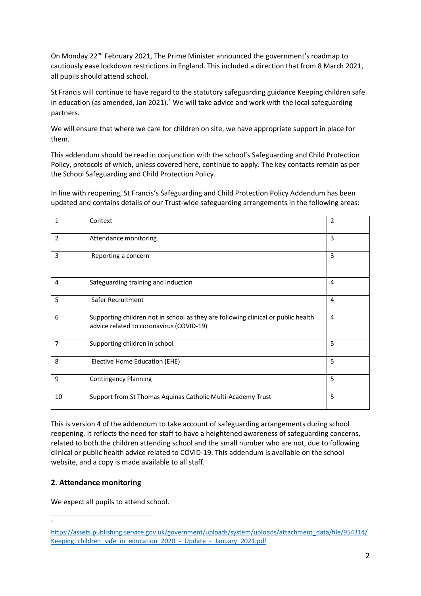On Monday  $22^{nd}$  February 2021, The Prime Minister announced the government's roadmap to cautiously ease lockdown restrictions in England. This included a direction that from 8 March 2021, all pupils should attend school.

St Francis will continue to have regard to the statutory safeguarding guidance Keeping children safe in education (as amended, Jan 2021).<sup>1</sup> We will take advice and work with the local safeguarding partners.

We will ensure that where we care for children on site, we have appropriate support in place for them.

This addendum should be read in conjunction with the school's Safeguarding and Child Protection Policy, protocols of which, unless covered here, continue to apply. The key contacts **r**emain as per the School Safeguarding and Child Protection Policy.

In line with reopening, St Francis's Safeguarding and Child Protection Policy Addendum has been updated and contains details of our Trust-wide safeguarding arrangements in the following areas:

| 1              | Context                                                                                                                       | $\overline{2}$ |
|----------------|-------------------------------------------------------------------------------------------------------------------------------|----------------|
| $\overline{2}$ | Attendance monitoring                                                                                                         | 3              |
| 3              | Reporting a concern                                                                                                           | 3              |
| 4              | Safeguarding training and induction                                                                                           | $\overline{4}$ |
| 5              | Safer Recruitment                                                                                                             | 4              |
| 6              | Supporting children not in school as they are following clinical or public health<br>advice related to coronavirus (COVID-19) | 4              |
| 7              | Supporting children in school                                                                                                 | 5              |
| 8              | Elective Home Education (EHE)                                                                                                 | 5              |
| 9              | <b>Contingency Planning</b>                                                                                                   | 5              |
| 10             | Support from St Thomas Aquinas Catholic Multi-Academy Trust                                                                   | 5              |

This is version 4 of the addendum to take account of safeguarding arrangements during school reopening. It reflects the need for staff to have a heightened awareness of safeguarding concerns, related to both the children attending school and the small number who are not, due to following clinical or public health advice related to COVID-19. This addendum is available on the school website, and a copy is made available to all staff.

## **2**. **Attendance monitoring**

We expect all pupils to attend school.

 $\overline{a}$ 1

[https://assets.publishing.service.gov.uk/government/uploads/system/uploads/attachment\\_data/file/954314/](https://assets.publishing.service.gov.uk/government/uploads/system/uploads/attachment_data/file/954314/Keeping_children_safe_in_education_2020_-_Update_-_January_2021.pdf) [Keeping\\_children\\_safe\\_in\\_education\\_2020\\_-\\_Update\\_-\\_January\\_2021.pdf](https://assets.publishing.service.gov.uk/government/uploads/system/uploads/attachment_data/file/954314/Keeping_children_safe_in_education_2020_-_Update_-_January_2021.pdf)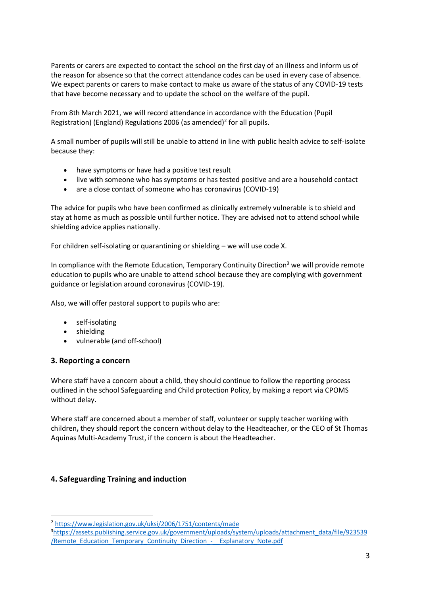Parents or carers are expected to contact the school on the first day of an illness and inform us of the reason for absence so that the correct attendance codes can be used in every case of absence. We expect parents or carers to make contact to make us aware of the status of any COVID-19 tests that have become necessary and to update the school on the welfare of the pupil.

From 8th March 2021, we will record attendance in accordance with the Education (Pupil Registration) (England) Regulations 2006 (as amended)<sup>2</sup> for all pupils.

A small number of pupils will still be unable to attend in line with public health advice to self-isolate because they:

- have symptoms or have had a positive test result
- live with someone who has symptoms or has tested positive and are a household contact
- are a close contact of someone who has coronavirus (COVID-19)

The advice for pupils who have been confirmed as clinically extremely vulnerable is to shield and stay at home as much as possible until further notice. They are advised not to attend school while shielding advice applies nationally.

For children self-isolating or quarantining or shielding – we will use code X.

In compliance with the Remote Education, Temporary Continuity Direction<sup>3</sup> we will provide remote education to pupils who are unable to attend school because they are complying with government guidance or legislation around coronavirus (COVID-19).

Also, we will offer pastoral support to pupils who are:

- self-isolating
- shielding
- vulnerable (and off-school)

#### **3. Reporting a concern**

 $\overline{a}$ 

Where staff have a concern about a child, they should continue to follow the reporting process outlined in the school Safeguarding and Child protection Policy, by making a report via CPOMS without delay.

Where staff are concerned about a member of staff, volunteer or supply teacher working with children**,** they should report the concern without delay to the Headteacher, or the CEO of St Thomas Aquinas Multi-Academy Trust, if the concern is about the Headteacher.

#### **4. Safeguarding Training and induction**

<sup>2</sup> <https://www.legislation.gov.uk/uksi/2006/1751/contents/made>

<sup>3</sup>[https://assets.publishing.service.gov.uk/government/uploads/system/uploads/attachment\\_data/file/923539](https://assets.publishing.service.gov.uk/government/uploads/system/uploads/attachment_data/file/923539/Remote_Education_Temporary_Continuity_Direction_-__Explanatory_Note.pdf) [/Remote\\_Education\\_Temporary\\_Continuity\\_Direction\\_-\\_\\_Explanatory\\_Note.pdf](https://assets.publishing.service.gov.uk/government/uploads/system/uploads/attachment_data/file/923539/Remote_Education_Temporary_Continuity_Direction_-__Explanatory_Note.pdf)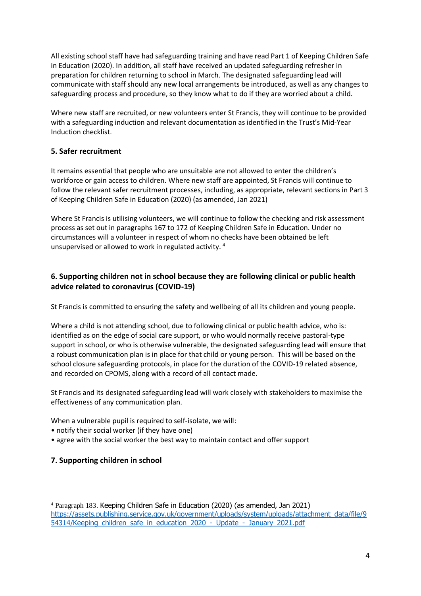All existing school staff have had safeguarding training and have read Part 1 of Keeping Children Safe in Education (2020). In addition, all staff have received an updated safeguarding refresher in preparation for children returning to school in March. The designated safeguarding lead will communicate with staff should any new local arrangements be introduced, as well as any changes to safeguarding process and procedure, so they know what to do if they are worried about a child.

Where new staff are recruited, or new volunteers enter St Francis, they will continue to be provided with a safeguarding induction and relevant documentation as identified in the Trust's Mid-Year Induction checklist.

#### **5. Safer recruitment**

It remains essential that people who are unsuitable are not allowed to enter the children's workforce or gain access to children. Where new staff are appointed, St Francis will continue to follow the relevant safer recruitment processes, including, as appropriate, relevant sections in Part 3 of Keeping Children Safe in Education (2020) (as amended, Jan 2021)

Where St Francis is utilising volunteers, we will continue to follow the checking and risk assessment process as set out in paragraphs 167 to 172 of Keeping Children Safe in Education. Under no circumstances will a volunteer in respect of whom no checks have been obtained be left unsupervised or allowed to work in regulated activity. <sup>4</sup>

## **6. Supporting children not in school because they are following clinical or public health advice related to coronavirus (COVID-19)**

St Francis is committed to ensuring the safety and wellbeing of all its children and young people.

Where a child is not attending school, due to following clinical or public health advice, who is: identified as on the edge of social care support, or who would normally receive pastoral-type support in school, or who is otherwise vulnerable, the designated safeguarding lead will ensure that a robust communication plan is in place for that child or young person. This will be based on the school closure safeguarding protocols, in place for the duration of the COVID-19 related absence, and recorded on CPOMS, along with a record of all contact made.

St Francis and its designated safeguarding lead will work closely with stakeholders to maximise the effectiveness of any communication plan.

When a vulnerable pupil is required to self-isolate, we will:

- notify their social worker (if they have one)
- agree with the social worker the best way to maintain contact and offer support

#### **7. Supporting children in school**

 $\overline{a}$ 

<sup>4</sup> Paragraph 183. Keeping Children Safe in Education (2020) (as amended, Jan 2021) [https://assets.publishing.service.gov.uk/government/uploads/system/uploads/attachment\\_data/file/9](https://assets.publishing.service.gov.uk/government/uploads/system/uploads/attachment_data/file/954314/Keeping_children_safe_in_education_2020_-_Update_-_January_2021.pdf) [54314/Keeping\\_children\\_safe\\_in\\_education\\_2020\\_-\\_Update\\_-\\_January\\_2021.pdf](https://assets.publishing.service.gov.uk/government/uploads/system/uploads/attachment_data/file/954314/Keeping_children_safe_in_education_2020_-_Update_-_January_2021.pdf)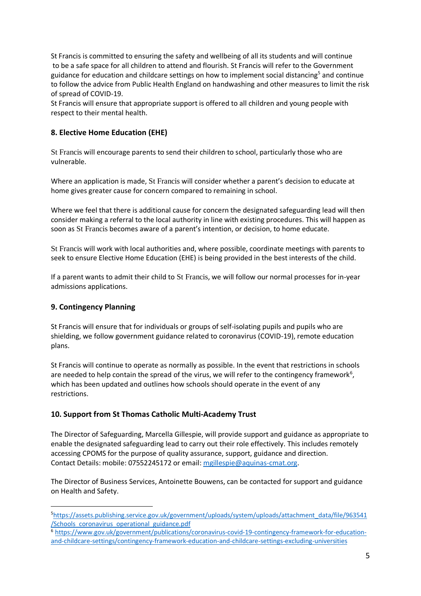St Francis is committed to ensuring the safety and wellbeing of all its students and will continue to be a safe space for all children to attend and flourish. St Francis will refer to the Government guidance for education and childcare settings on how to implement social distancing<sup>5</sup> and continue to follow the advice from Public Health England on handwashing and other measures to limit the risk of spread of COVID-19.

St Francis will ensure that appropriate support is offered to all children and young people with respect to their mental health.

## **8. Elective Home Education (EHE)**

St Francis will encourage parents to send their children to school, particularly those who are vulnerable.

Where an application is made, St Francis will consider whether a parent's decision to educate at home gives greater cause for concern compared to remaining in school.

Where we feel that there is additional cause for concern the designated safeguarding lead will then consider making a referral to the local authority in line with existing procedures. This will happen as soon as St Francis becomes aware of a parent's intention, or decision, to home educate.

St Francis will work with local authorities and, where possible, coordinate meetings with parents to seek to ensure Elective Home Education (EHE) is being provided in the best interests of the child.

If a parent wants to admit their child to St Francis, we will follow our normal processes for in-year admissions applications.

## **9. Contingency Planning**

 $\overline{a}$ 

St Francis will ensure that for individuals or groups of self-isolating pupils and pupils who are shielding, we follow government guidance related to coronavirus (COVID-19), remote education plans.

St Francis will continue to operate as normally as possible. In the event that restrictions in schools are needed to help contain the spread of the virus, we will refer to the contingency framework<sup>6</sup>, which has been updated and outlines how schools should operate in the event of any restrictions.

## **10. Support from St Thomas Catholic Multi-Academy Trust**

The Director of Safeguarding, Marcella Gillespie, will provide support and guidance as appropriate to enable the designated safeguarding lead to carry out their role effectively. This includes remotely accessing CPOMS for the purpose of quality assurance, support, guidance and direction. Contact Details: mobile: 07552245172 or email[: mgillespie@aquinas-cmat.org.](mailto:mgillespie@aquinas-cmat.org)

The Director of Business Services, Antoinette Bouwens, can be contacted for support and guidance on Health and Safety.

<sup>5</sup>[https://assets.publishing.service.gov.uk/government/uploads/system/uploads/attachment\\_data/file/963541](https://assets.publishing.service.gov.uk/government/uploads/system/uploads/attachment_data/file/963541/Schools_coronavirus_operational_guidance.pdf) [/Schools\\_coronavirus\\_operational\\_guidance.pdf](https://assets.publishing.service.gov.uk/government/uploads/system/uploads/attachment_data/file/963541/Schools_coronavirus_operational_guidance.pdf)

<sup>6</sup> [https://www.gov.uk/government/publications/coronavirus-covid-19-contingency-framework-for-education](https://www.gov.uk/government/publications/coronavirus-covid-19-contingency-framework-for-education-and-childcare-settings/contingency-framework-education-and-childcare-settings-excluding-universities)[and-childcare-settings/contingency-framework-education-and-childcare-settings-excluding-universities](https://www.gov.uk/government/publications/coronavirus-covid-19-contingency-framework-for-education-and-childcare-settings/contingency-framework-education-and-childcare-settings-excluding-universities)